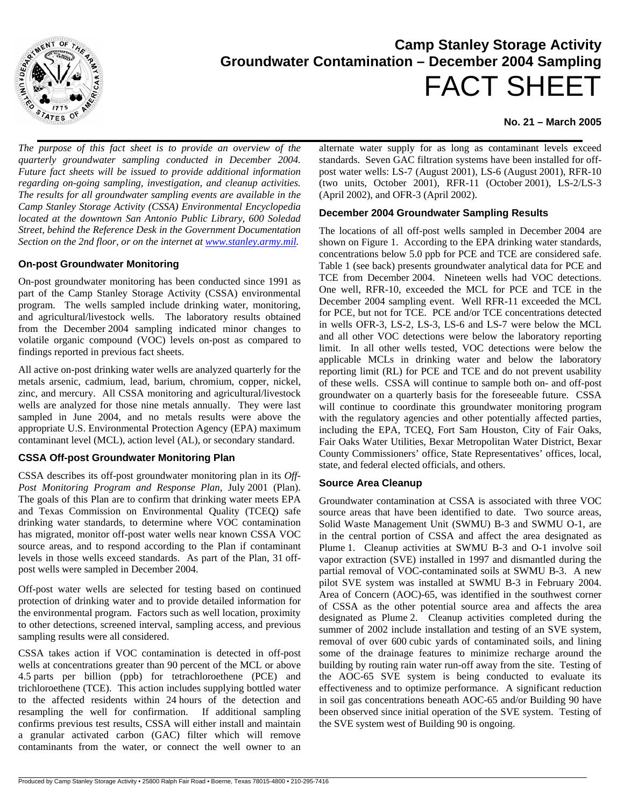

# **Camp Stanley Storage Activity Groundwater Contamination – December 2004 Sampling** FACT SHEET

# **No. 21 – March 2005**

*The purpose of this fact sheet is to provide an overview of the quarterly groundwater sampling conducted in December 2004. Future fact sheets will be issued to provide additional information regarding on-going sampling, investigation, and cleanup activities. The results for all groundwater sampling events are available in the Camp Stanley Storage Activity (CSSA) Environmental Encyclopedia located at the downtown San Antonio Public Library, 600 Soledad Street, behind the Reference Desk in the Government Documentation Section on the 2nd floor, or on the internet at www.stanley.army.mil.* 

## **On-post Groundwater Monitoring**

On-post groundwater monitoring has been conducted since 1991 as part of the Camp Stanley Storage Activity (CSSA) environmental program. The wells sampled include drinking water, monitoring, and agricultural/livestock wells. The laboratory results obtained from the December 2004 sampling indicated minor changes to volatile organic compound (VOC) levels on-post as compared to findings reported in previous fact sheets.

All active on-post drinking water wells are analyzed quarterly for the metals arsenic, cadmium, lead, barium, chromium, copper, nickel, zinc, and mercury. All CSSA monitoring and agricultural/livestock wells are analyzed for those nine metals annually. They were last sampled in June 2004, and no metals results were above the appropriate U.S. Environmental Protection Agency (EPA) maximum contaminant level (MCL), action level (AL), or secondary standard.

#### **CSSA Off-post Groundwater Monitoring Plan**

CSSA describes its off-post groundwater monitoring plan in its *Off-Post Monitoring Program and Response Plan*, July 2001 (Plan). The goals of this Plan are to confirm that drinking water meets EPA and Texas Commission on Environmental Quality (TCEQ) safe drinking water standards, to determine where VOC contamination has migrated, monitor off-post water wells near known CSSA VOC source areas, and to respond according to the Plan if contaminant levels in those wells exceed standards. As part of the Plan, 31 offpost wells were sampled in December 2004.

Off-post water wells are selected for testing based on continued protection of drinking water and to provide detailed information for the environmental program. Factors such as well location, proximity to other detections, screened interval, sampling access, and previous sampling results were all considered.

CSSA takes action if VOC contamination is detected in off-post wells at concentrations greater than 90 percent of the MCL or above 4.5 parts per billion (ppb) for tetrachloroethene (PCE) and trichloroethene (TCE). This action includes supplying bottled water to the affected residents within 24 hours of the detection and resampling the well for confirmation. If additional sampling confirms previous test results, CSSA will either install and maintain a granular activated carbon (GAC) filter which will remove contaminants from the water, or connect the well owner to an

alternate water supply for as long as contaminant levels exceed standards. Seven GAC filtration systems have been installed for offpost water wells: LS-7 (August 2001), LS-6 (August 2001), RFR-10 (two units, October 2001), RFR-11 (October 2001), LS-2/LS-3 (April 2002), and OFR-3 (April 2002).

# **December 2004 Groundwater Sampling Results**

The locations of all off-post wells sampled in December 2004 are shown on Figure 1. According to the EPA drinking water standards, concentrations below 5.0 ppb for PCE and TCE are considered safe. Table 1 (see back) presents groundwater analytical data for PCE and TCE from December 2004. Nineteen wells had VOC detections. One well, RFR-10, exceeded the MCL for PCE and TCE in the December 2004 sampling event. Well RFR-11 exceeded the MCL for PCE, but not for TCE. PCE and/or TCE concentrations detected in wells OFR-3, LS-2, LS-3, LS-6 and LS-7 were below the MCL and all other VOC detections were below the laboratory reporting limit. In all other wells tested, VOC detections were below the applicable MCLs in drinking water and below the laboratory reporting limit (RL) for PCE and TCE and do not prevent usability of these wells. CSSA will continue to sample both on- and off-post groundwater on a quarterly basis for the foreseeable future. CSSA will continue to coordinate this groundwater monitoring program with the regulatory agencies and other potentially affected parties, including the EPA, TCEQ, Fort Sam Houston, City of Fair Oaks, Fair Oaks Water Utilities, Bexar Metropolitan Water District, Bexar County Commissioners' office, State Representatives' offices, local, state, and federal elected officials, and others.

#### **Source Area Cleanup**

Groundwater contamination at CSSA is associated with three VOC source areas that have been identified to date. Two source areas, Solid Waste Management Unit (SWMU) B-3 and SWMU O-1, are in the central portion of CSSA and affect the area designated as Plume 1. Cleanup activities at SWMU B-3 and O-1 involve soil vapor extraction (SVE) installed in 1997 and dismantled during the partial removal of VOC-contaminated soils at SWMU B-3. A new pilot SVE system was installed at SWMU B-3 in February 2004. Area of Concern (AOC)-65, was identified in the southwest corner of CSSA as the other potential source area and affects the area designated as Plume 2. Cleanup activities completed during the summer of 2002 include installation and testing of an SVE system, removal of over 600 cubic yards of contaminated soils, and lining some of the drainage features to minimize recharge around the building by routing rain water run-off away from the site. Testing of the AOC-65 SVE system is being conducted to evaluate its effectiveness and to optimize performance. A significant reduction in soil gas concentrations beneath AOC-65 and/or Building 90 have been observed since initial operation of the SVE system. Testing of the SVE system west of Building 90 is ongoing.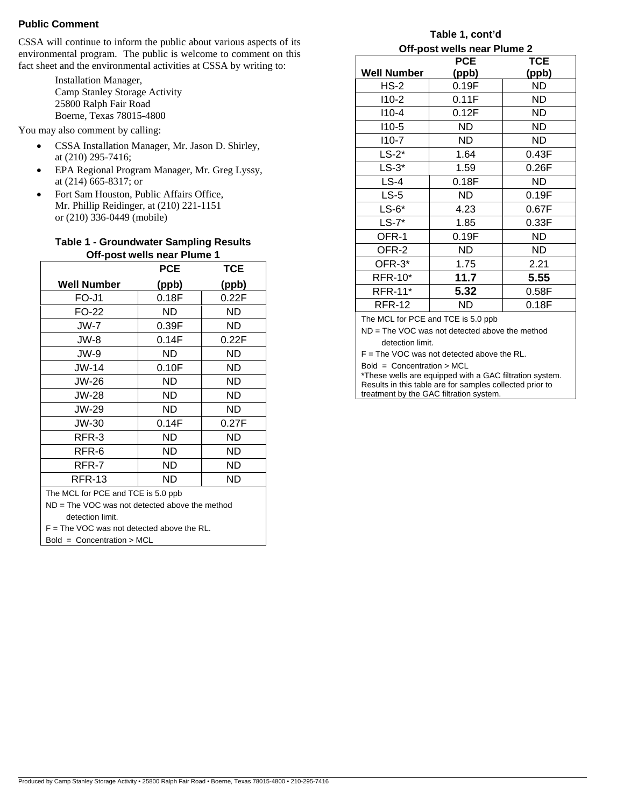#### **Public Comment**

CSSA will continue to inform the public about various aspects of its environmental program. The public is welcome to comment on this fact sheet and the environmental activities at CSSA by writing to:

> Installation Manager, Camp Stanley Storage Activity 25800 Ralph Fair Road Boerne, Texas 78015-4800

You may also comment by calling:

- CSSA Installation Manager, Mr. Jason D. Shirley, at (210) 295-7416;
- EPA Regional Program Manager, Mr. Greg Lyssy, at (214) 665-8317; or
- Fort Sam Houston, Public Affairs Office, Mr. Phillip Reidinger, at (210) 221-1151 or (210) 336-0449 (mobile)

#### **Table 1 - Groundwater Sampling Results Off-post wells near Plume 1**

|                                                  | <b>PCE</b> | TCE   |  |
|--------------------------------------------------|------------|-------|--|
| <b>Well Number</b>                               | (ppb)      | (ppb) |  |
| FO-J1                                            | 0.18F      | 0.22F |  |
| FO-22                                            | ND         | ND    |  |
| JW-7                                             | 0.39F      | ND    |  |
| JW-8                                             | 0.14F      | 0.22F |  |
| JW-9                                             | ND         | ND    |  |
| JW-14                                            | 0.10F      | ND    |  |
| JW-26                                            | ND         | ND    |  |
| JW-28                                            | ND         | ND    |  |
| JW-29                                            | ND         | ND    |  |
| JW-30                                            | 0.14F      | 0.27F |  |
| RFR-3                                            | ND         | ND    |  |
| RFR-6                                            | ND         | ND    |  |
| RFR-7                                            | ND         | ND    |  |
| <b>RFR-13</b>                                    | ND         | ND    |  |
| The MCL for PCE and TCE is 5.0 ppb               |            |       |  |
| $ND = The VOC$ was not detected above the method |            |       |  |
| detection limit.                                 |            |       |  |
| $F =$ The VOC was not detected above the RL.     |            |       |  |
| $Bold =$ Concentration > MCL                     |            |       |  |

# **Table 1, cont'd**

| Off-post wells near Plume 2 |            |  |  |
|-----------------------------|------------|--|--|
| <b>PCE</b>                  | <b>TCE</b> |  |  |
| (ppb)                       | (ppb)      |  |  |
| 0.19F                       | <b>ND</b>  |  |  |
| 0.11F                       | ND         |  |  |
| 0.12F                       | ND         |  |  |
| ND.                         | ND         |  |  |
| ND.                         | ND         |  |  |
| 1.64                        | 0.43F      |  |  |
| 1.59                        | 0.26F      |  |  |
| 0.18F                       | ND         |  |  |
| ND.                         | 0.19F      |  |  |
| 4.23                        | 0.67F      |  |  |
| 1.85                        | 0.33F      |  |  |
| 0.19F                       | ND         |  |  |
| ND                          | ND         |  |  |
| 1.75                        | 2.21       |  |  |
| 11.7                        | 5.55       |  |  |
| 5.32                        | 0.58F      |  |  |
| ND                          | 0.18F      |  |  |
|                             |            |  |  |

The MCL for PCE and TCE is 5.0 ppb

ND = The VOC was not detected above the method detection limit.

F = The VOC was not detected above the RL.

Bold = Concentration > MCL \*These wells are equipped with a GAC filtration system. Results in this table are for samples collected prior to treatment by the GAC filtration system.